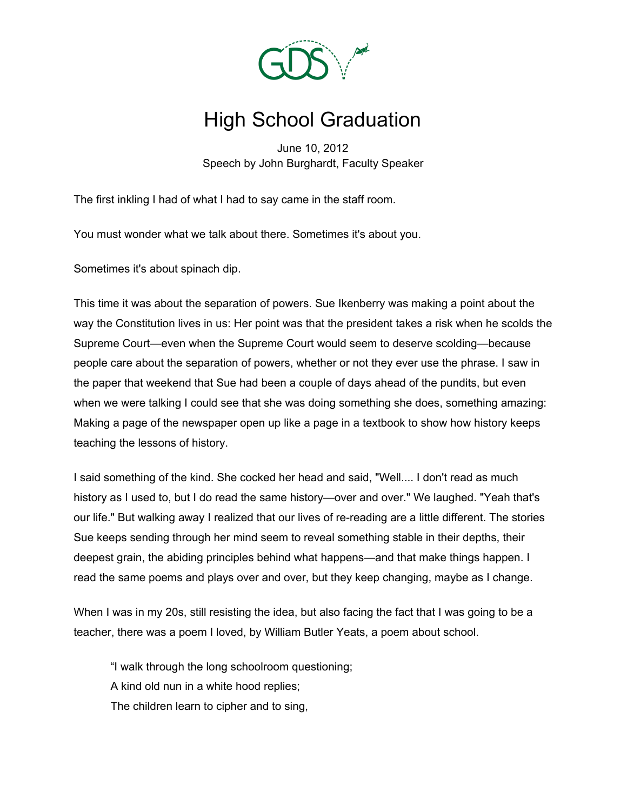

## High School Graduation

June 10, 2012 Speech by John Burghardt, Faculty Speaker

The first inkling I had of what I had to say came in the staff room.

You must wonder what we talk about there. Sometimes it's about you.

Sometimes it's about spinach dip.

This time it was about the separation of powers. Sue Ikenberry was making a point about the way the Constitution lives in us: Her point was that the president takes a risk when he scolds the Supreme Court—even when the Supreme Court would seem to deserve scolding—because people care about the separation of powers, whether or not they ever use the phrase. I saw in the paper that weekend that Sue had been a couple of days ahead of the pundits, but even when we were talking I could see that she was doing something she does, something amazing: Making a page of the newspaper open up like a page in a textbook to show how history keeps teaching the lessons of history.

I said something of the kind. She cocked her head and said, "Well.... I don't read as much history as I used to, but I do read the same history—over and over." We laughed. "Yeah that's our life." But walking away I realized that our lives of re-reading are a little different. The stories Sue keeps sending through her mind seem to reveal something stable in their depths, their deepest grain, the abiding principles behind what happens—and that make things happen. I read the same poems and plays over and over, but they keep changing, maybe as I change.

When I was in my 20s, still resisting the idea, but also facing the fact that I was going to be a teacher, there was a poem I loved, by William Butler Yeats, a poem about school.

"I walk through the long schoolroom questioning; A kind old nun in a white hood replies; The children learn to cipher and to sing,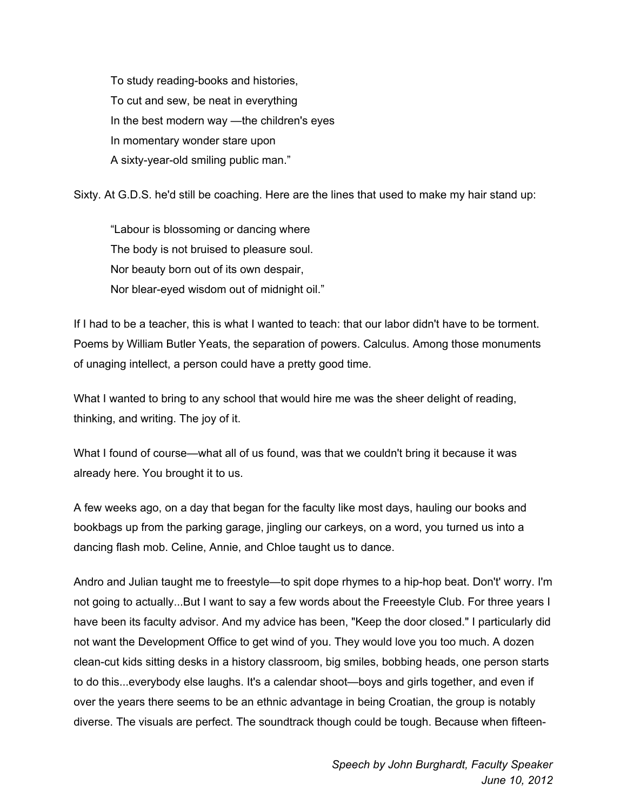To study reading-books and histories, To cut and sew, be neat in everything In the best modern way —the children's eyes In momentary wonder stare upon A sixty-year-old smiling public man."

Sixty. At G.D.S. he'd still be coaching. Here are the lines that used to make my hair stand up:

"Labour is blossoming or dancing where The body is not bruised to pleasure soul. Nor beauty born out of its own despair, Nor blear-eyed wisdom out of midnight oil."

If I had to be a teacher, this is what I wanted to teach: that our labor didn't have to be torment. Poems by William Butler Yeats, the separation of powers. Calculus. Among those monuments of unaging intellect, a person could have a pretty good time.

What I wanted to bring to any school that would hire me was the sheer delight of reading, thinking, and writing. The joy of it.

What I found of course—what all of us found, was that we couldn't bring it because it was already here. You brought it to us.

A few weeks ago, on a day that began for the faculty like most days, hauling our books and bookbags up from the parking garage, jingling our carkeys, on a word, you turned us into a dancing flash mob. Celine, Annie, and Chloe taught us to dance.

Andro and Julian taught me to freestyle—to spit dope rhymes to a hip-hop beat. Don't' worry. I'm not going to actually...But I want to say a few words about the Freeestyle Club. For three years I have been its faculty advisor. And my advice has been, "Keep the door closed." I particularly did not want the Development Office to get wind of you. They would love you too much. A dozen clean-cut kids sitting desks in a history classroom, big smiles, bobbing heads, one person starts to do this...everybody else laughs. It's a calendar shoot—boys and girls together, and even if over the years there seems to be an ethnic advantage in being Croatian, the group is notably diverse. The visuals are perfect. The soundtrack though could be tough. Because when fifteen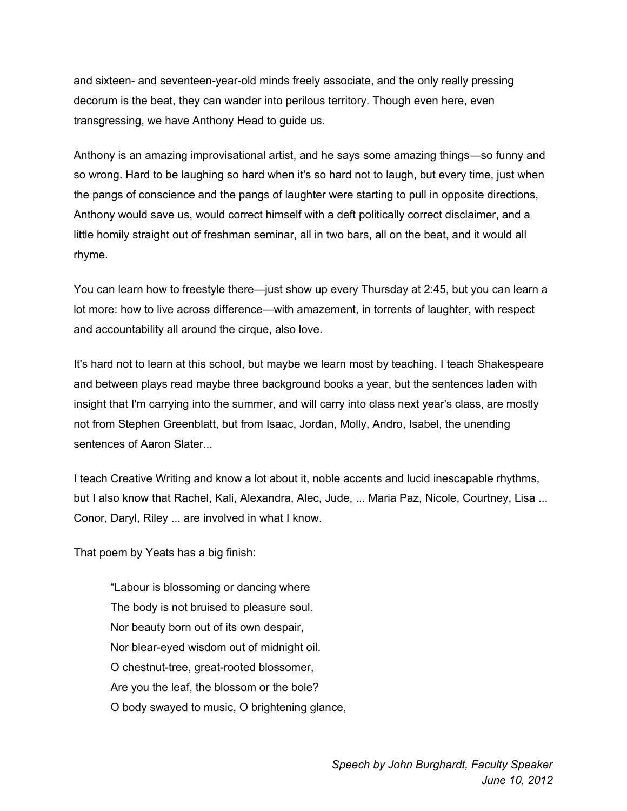and sixteen- and seventeen-year-old minds freely associate, and the only really pressing decorum is the beat, they can wander into perilous territory. Though even here, even transgressing, we have Anthony Head to guide us.

Anthony is an amazing improvisational artist, and he says some amazing things—so funny and so wrong. Hard to be laughing so hard when it's so hard not to laugh, but every time, just when the pangs of conscience and the pangs of laughter were starting to pull in opposite directions, Anthony would save us, would correct himself with a deft politically correct disclaimer, and a little homily straight out of freshman seminar, all in two bars, all on the beat, and it would all rhyme.

You can learn how to freestyle there—just show up every Thursday at 2:45, but you can learn a lot more: how to live across difference—with amazement, in torrents of laughter, with respect and accountability all around the cirque, also love.

It's hard not to learn at this school, but maybe we learn most by teaching. I teach Shakespeare and between plays read maybe three background books a year, but the sentences laden with insight that I'm carrying into the summer, and will carry into class next year's class, are mostly not from Stephen Greenblatt, but from Isaac, Jordan, Molly, Andro, Isabel, the unending sentences of Aaron Slater...

I teach Creative Writing and know a lot about it, noble accents and lucid inescapable rhythms, but I also know that Rachel, Kali, Alexandra, Alec, Jude, ... Maria Paz, Nicole, Courtney, Lisa ... Conor, Daryl, Riley ... are involved in what I know.

That poem by Yeats has a big finish:

"Labour is blossoming or dancing where The body is not bruised to pleasure soul. Nor beauty born out of its own despair, Nor blear-eyed wisdom out of midnight oil. O chestnut-tree, great-rooted blossomer, Are you the leaf, the blossom or the bole? O body swayed to music, O brightening glance,